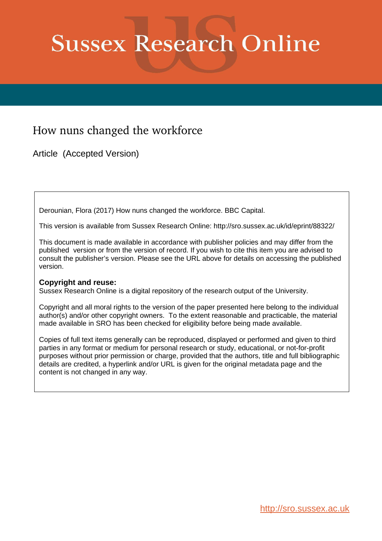# **Sussex Research Online**

## How nuns changed the workforce

Article (Accepted Version)

Derounian, Flora (2017) How nuns changed the workforce. BBC Capital.

This version is available from Sussex Research Online: http://sro.sussex.ac.uk/id/eprint/88322/

This document is made available in accordance with publisher policies and may differ from the published version or from the version of record. If you wish to cite this item you are advised to consult the publisher's version. Please see the URL above for details on accessing the published version.

### **Copyright and reuse:**

Sussex Research Online is a digital repository of the research output of the University.

Copyright and all moral rights to the version of the paper presented here belong to the individual author(s) and/or other copyright owners. To the extent reasonable and practicable, the material made available in SRO has been checked for eligibility before being made available.

Copies of full text items generally can be reproduced, displayed or performed and given to third parties in any format or medium for personal research or study, educational, or not-for-profit purposes without prior permission or charge, provided that the authors, title and full bibliographic details are credited, a hyperlink and/or URL is given for the original metadata page and the content is not changed in any way.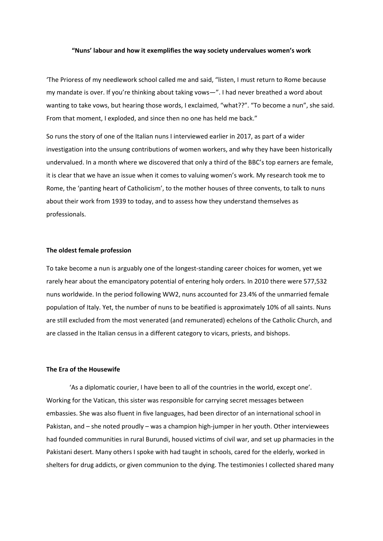#### **"Nuns' labour and how it exemplifies the way society undervalues women's work**

'The Prioress of my needlework school called me and said, "listen, I must return to Rome because my mandate is over. If you're thinking about taking vows—". I had never breathed a word about wanting to take vows, but hearing those words, I exclaimed, "what??". "To become a nun", she said. From that moment, I exploded, and since then no one has held me back."

So runs the story of one of the Italian nuns I interviewed earlier in 2017, as part of a wider investigation into the unsung contributions of women workers, and why they have been historically undervalued. In a month where we discovered that only a third of the BBC's top earners are female, it is clear that we have an issue when it comes to valuing women's work. My research took me to Rome, the 'panting heart of Catholicism', to the mother houses of three convents, to talk to nuns about their work from 1939 to today, and to assess how they understand themselves as professionals.

#### **The oldest female profession**

To take become a nun is arguably one of the longest-standing career choices for women, yet we rarely hear about the emancipatory potential of entering holy orders. In 2010 there were 577,532 nuns worldwide. In the period following WW2, nuns accounted for 23.4% of the unmarried female population of Italy. Yet, the number of nuns to be beatified is approximately 10% of all saints. Nuns are still excluded from the most venerated (and remunerated) echelons of the Catholic Church, and are classed in the Italian census in a different category to vicars, priests, and bishops.

#### **The Era of the Housewife**

'As a diplomatic courier, I have been to all of the countries in the world, except one'. Working for the Vatican, this sister was responsible for carrying secret messages between embassies. She was also fluent in five languages, had been director of an international school in Pakistan, and – she noted proudly – was a champion high-jumper in her youth. Other interviewees had founded communities in rural Burundi, housed victims of civil war, and set up pharmacies in the Pakistani desert. Many others I spoke with had taught in schools, cared for the elderly, worked in shelters for drug addicts, or given communion to the dying. The testimonies I collected shared many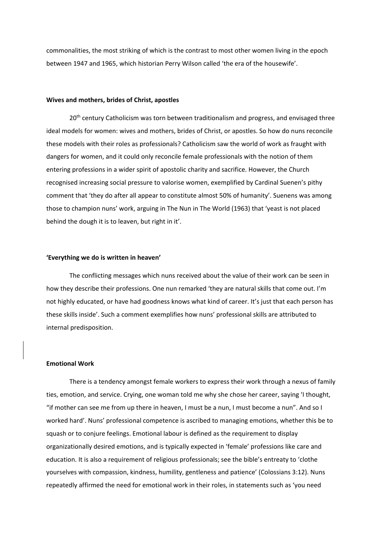commonalities, the most striking of which is the contrast to most other women living in the epoch between 1947 and 1965, which historian Perry Wilson called 'the era of the housewife'.

#### **Wives and mothers, brides of Christ, apostles**

20<sup>th</sup> century Catholicism was torn between traditionalism and progress, and envisaged three ideal models for women: wives and mothers, brides of Christ, or apostles. So how do nuns reconcile these models with their roles as professionals? Catholicism saw the world of work as fraught with dangers for women, and it could only reconcile female professionals with the notion of them entering professions in a wider spirit of apostolic charity and sacrifice. However, the Church recognised increasing social pressure to valorise women, exemplified by Cardinal Suenen's pithy comment that 'they do after all appear to constitute almost 50% of humanity'. Suenens was among those to champion nuns' work, arguing in The Nun in The World (1963) that 'yeast is not placed behind the dough it is to leaven, but right in it'.

#### **'Everything we do is written in heaven'**

The conflicting messages which nuns received about the value of their work can be seen in how they describe their professions. One nun remarked 'they are natural skills that come out. I'm not highly educated, or have had goodness knows what kind of career. It's just that each person has these skills inside'. Such a comment exemplifies how nuns' professional skills are attributed to internal predisposition.

#### **Emotional Work**

There is a tendency amongst female workers to express their work through a nexus of family ties, emotion, and service. Crying, one woman told me why she chose her career, saying 'I thought, "if mother can see me from up there in heaven, I must be a nun, I must become a nun". And so I worked hard'. Nuns' professional competence is ascribed to managing emotions, whether this be to squash or to conjure feelings. Emotional labour is defined as the requirement to display organizationally desired emotions, and is typically expected in 'female' professions like care and education. It is also a requirement of religious professionals; see the bible's entreaty to 'clothe yourselves with compassion, kindness, humility, gentleness and patience' (Colossians 3:12). Nuns repeatedly affirmed the need for emotional work in their roles, in statements such as 'you need